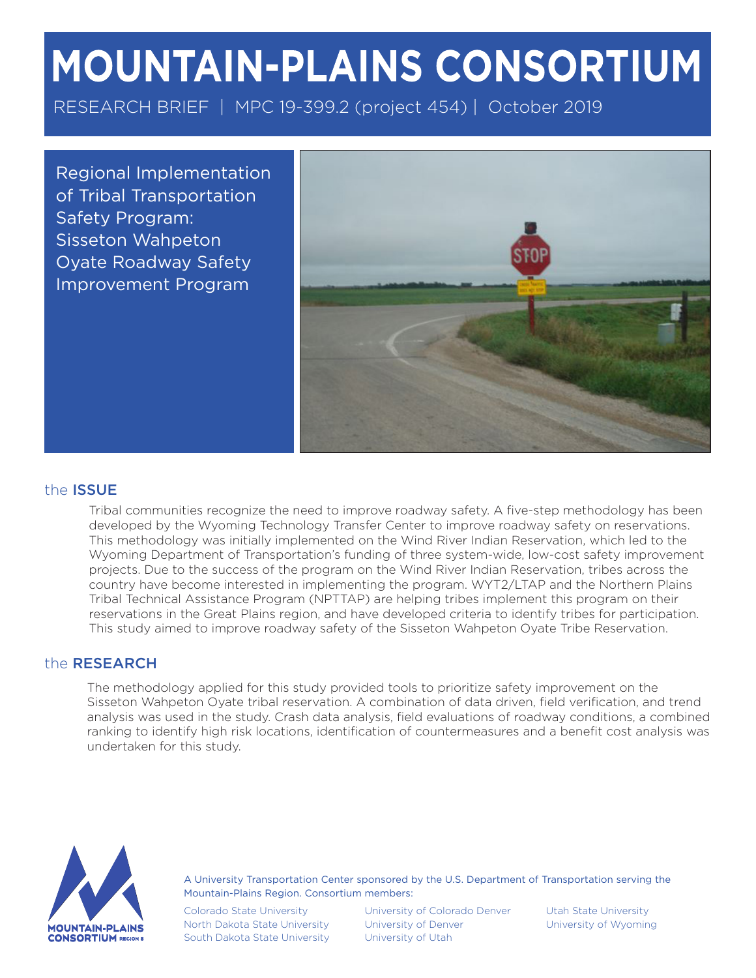# MOUNTAIN-PLAINS CONSORTIUM

RESEARCH BRIEF | MPC 19-399.2 (project 454) | October 2019

Regional Implementation of Tribal Transportation Safety Program: Sisseton Wahpeton Oyate Roadway Safety Improvement Program



## the ISSUE

Tribal communities recognize the need to improve roadway safety. A five-step methodology has been developed by the Wyoming Technology Transfer Center to improve roadway safety on reservations. This methodology was initially implemented on the Wind River Indian Reservation, which led to the Wyoming Department of Transportation's funding of three system-wide, low-cost safety improvement projects. Due to the success of the program on the Wind River Indian Reservation, tribes across the country have become interested in implementing the program. WYT2/LTAP and the Northern Plains Tribal Technical Assistance Program (NPTTAP) are helping tribes implement this program on their reservations in the Great Plains region, and have developed criteria to identify tribes for participation. This study aimed to improve roadway safety of the Sisseton Wahpeton Oyate Tribe Reservation.

#### the RESEARCH

The methodology applied for this study provided tools to prioritize safety improvement on the Sisseton Wahpeton Oyate tribal reservation. A combination of data driven, field verification, and trend analysis was used in the study. Crash data analysis, field evaluations of roadway conditions, a combined ranking to identify high risk locations, identification of countermeasures and a benefit cost analysis was undertaken for this study.



A University Transportation Center sponsored by the U.S. Department of Transportation serving the Mountain-Plains Region. Consortium members:

Colorado State University North Dakota State University South Dakota State University

University of Colorado Denver University of Denver University of Utah

Utah State University University of Wyoming